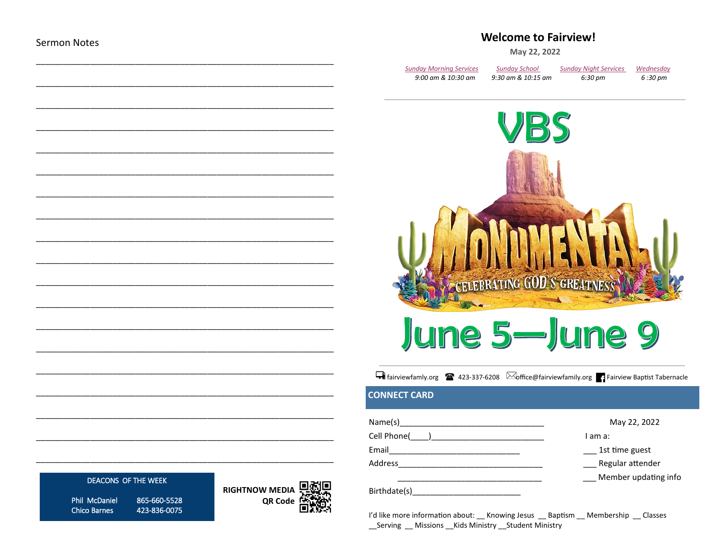## **Welcome to Fairview!**

May 22, 2022

| Sunday Morning Services | <b>Sunday School</b> | <b>Sunday Night Services</b> | Wednesday |
|-------------------------|----------------------|------------------------------|-----------|
| 9:00 am & 10:30 am      | 9:30 am & 10:15 am   | 6:30 pm                      | 6 :30 pm  |



# June 5—June 9

Filiniewfamly.org 23-337-6208 **Soffice@fairviewfamily.org** Fairview Baptist Tabernacle

## **CONNECT CARD**

| Name(s)      | May 22, 2022         |
|--------------|----------------------|
| Cell Phone(  | I am a:              |
| Email        | 1st time guest       |
| Address      | Regular attender     |
|              | Member updating info |
| Birthdate(s) |                      |

I'd like more information about: \_\_ Knowing Jesus \_\_ Baptism \_\_ Membership \_\_ Classes \_\_Serving \_\_ Missions \_\_Kids Ministry \_\_Student Ministry

## DEACONS OF THE WEEK

Phil McDaniel **Chico Barnes** 

865-660-5528 423-836-0075